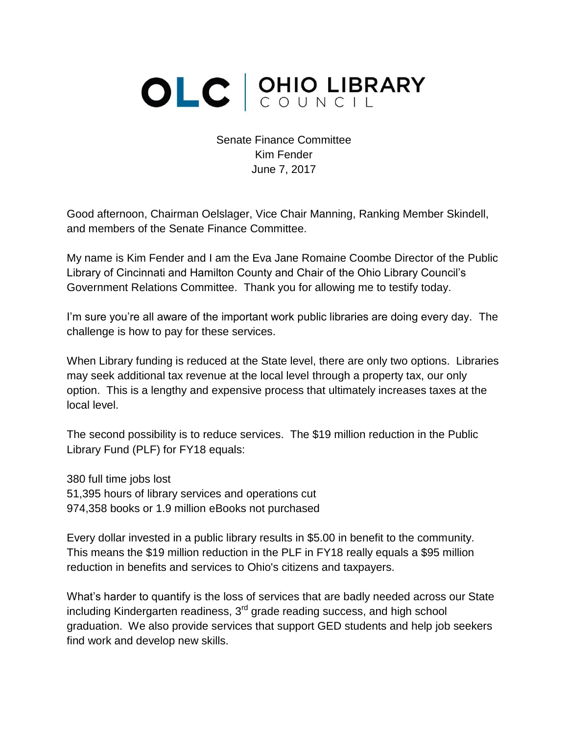## OLC SUNCIL

Senate Finance Committee Kim Fender June 7, 2017

Good afternoon, Chairman Oelslager, Vice Chair Manning, Ranking Member Skindell, and members of the Senate Finance Committee.

My name is Kim Fender and I am the Eva Jane Romaine Coombe Director of the Public Library of Cincinnati and Hamilton County and Chair of the Ohio Library Council's Government Relations Committee. Thank you for allowing me to testify today.

I'm sure you're all aware of the important work public libraries are doing every day. The challenge is how to pay for these services.

When Library funding is reduced at the State level, there are only two options. Libraries may seek additional tax revenue at the local level through a property tax, our only option. This is a lengthy and expensive process that ultimately increases taxes at the local level.

The second possibility is to reduce services. The \$19 million reduction in the Public Library Fund (PLF) for FY18 equals:

380 full time jobs lost 51,395 hours of library services and operations cut 974,358 books or 1.9 million eBooks not purchased

Every dollar invested in a public library results in \$5.00 in benefit to the community. This means the \$19 million reduction in the PLF in FY18 really equals a \$95 million reduction in benefits and services to Ohio's citizens and taxpayers.

What's harder to quantify is the loss of services that are badly needed across our State including Kindergarten readiness,  $3<sup>rd</sup>$  grade reading success, and high school graduation. We also provide services that support GED students and help job seekers find work and develop new skills.